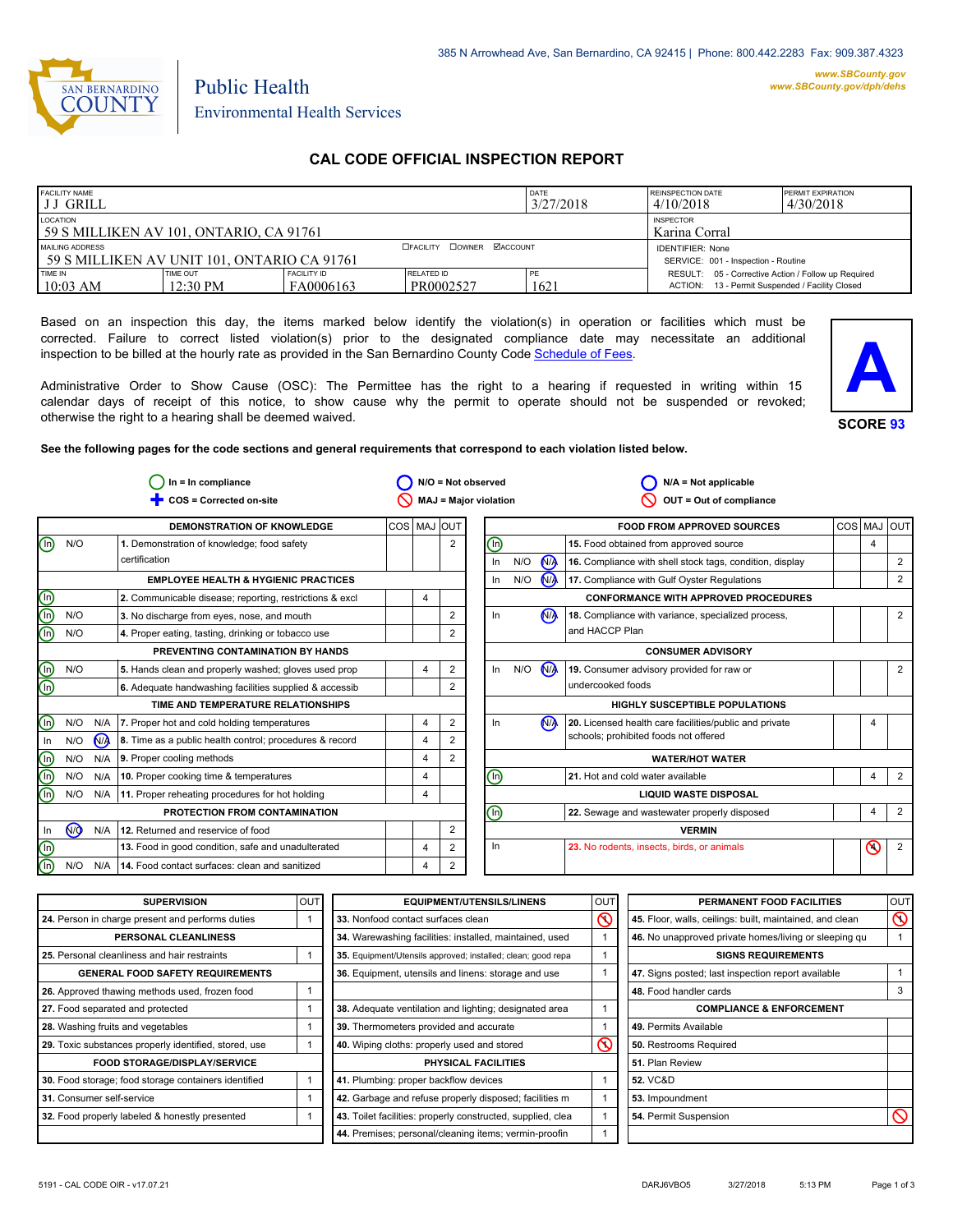

# Public Health Environmental Health Services

# **CAL CODE OFFICIAL INSPECTION REPORT**

| <b>FACILITY NAME</b><br>I J J GRILL                            |                      |                                                                |                         | DATE<br>3/27/2018 | <b>REINSPECTION DATE</b><br>4/10/2018                                                                  | <b>PERMIT EXPIRATION</b><br>4/30/2018 |
|----------------------------------------------------------------|----------------------|----------------------------------------------------------------|-------------------------|-------------------|--------------------------------------------------------------------------------------------------------|---------------------------------------|
| LOCATION<br>59 S MILLIKEN AV 101. ONTARIO. CA 91761            |                      | <b>INSPECTOR</b><br>Karina Corral                              |                         |                   |                                                                                                        |                                       |
| MAILING ADDRESS<br>59 S MILLIKEN AV UNIT 101. ONTARIO CA 91761 |                      | <b>IDENTIFIER: None</b><br>SERVICE: 001 - Inspection - Routine |                         |                   |                                                                                                        |                                       |
| TIME IN<br>$10:03$ AM                                          | TIME OUT<br>12:30 PM | <b>FACILITY ID</b><br>FA0006163                                | RELATED ID<br>PR0002527 | PE<br>1621        | RESULT: 05 - Corrective Action / Follow up Required<br>ACTION: 13 - Permit Suspended / Facility Closed |                                       |

Based on an inspection this day, the items marked below identify the violation(s) in operation or facilities which must be corrected. Failure to correct listed violation(s) prior to the designated compliance date may necessitate an additional inspection to be billed at the hourly rate as provided in the San Bernardino County Code Schedule [of Fees.](http://www.amlegal.com/nxt/gateway.dll/California/sanbernardinocounty_ca/title1governmentandadministration/division6countyfees/chapter2scheduleoffees?f=templates$fn=default.htm$3.0$vid=amlegal:sanbernardinocounty_ca$anc=JD_16.0213B)

Administrative Order to Show Cause (OSC): The Permittee has the right to a hearing if requested in writing within 15 calendar days of receipt of this notice, to show cause why the permit to operate should not be suspended or revoked; otherwise the right to a hearing shall be deemed waived.



**See the following pages for the code sections and general requirements that correspond to each violation listed below.**

|                                |            |                | $In = In$ compliance                                    |                |                              | N/O = Not observed |                              |                         |                | $N/A = Not applicable$                                   |         |         |                |
|--------------------------------|------------|----------------|---------------------------------------------------------|----------------|------------------------------|--------------------|------------------------------|-------------------------|----------------|----------------------------------------------------------|---------|---------|----------------|
| COS = Corrected on-site        |            |                |                                                         |                | <b>MAJ = Major violation</b> |                    |                              | OUT = Out of compliance |                |                                                          |         |         |                |
|                                |            |                | <b>DEMONSTRATION OF KNOWLEDGE</b>                       | COS   MAJ  OUT |                              |                    |                              |                         |                | <b>FOOD FROM APPROVED SOURCES</b>                        | COS MAJ |         | <b>OUT</b>     |
| ൘                              | N/O        |                | 1. Demonstration of knowledge; food safety              |                | $\overline{2}$               | ⋒                  |                              |                         |                | 15. Food obtained from approved source                   |         | 4       |                |
|                                |            |                | certification                                           |                |                              |                    | In                           | N/O                     | <b>MA</b>      | 16. Compliance with shell stock tags, condition, display |         |         | $\overline{2}$ |
|                                |            |                | <b>EMPLOYEE HEALTH &amp; HYGIENIC PRACTICES</b>         |                |                              |                    | In                           | N/O                     | N <sub>/</sub> | 17. Compliance with Gulf Oyster Regulations              |         |         | 2              |
|                                |            |                | 2. Communicable disease; reporting, restrictions & excl |                |                              |                    |                              |                         |                | <b>CONFORMANCE WITH APPROVED PROCEDURES</b>              |         |         |                |
| <u>டு</u><br>க                 | N/O        |                | 3. No discharge from eyes, nose, and mouth              |                | $\overline{2}$               |                    | In.                          |                         | ŃÀ             | 18. Compliance with variance, specialized process,       |         |         | $\overline{2}$ |
|                                | N/O        |                | 4. Proper eating, tasting, drinking or tobacco use      |                | $\overline{2}$               |                    |                              |                         |                | and HACCP Plan                                           |         |         |                |
|                                |            |                | PREVENTING CONTAMINATION BY HANDS                       |                |                              |                    |                              |                         |                | <b>CONSUMER ADVISORY</b>                                 |         |         |                |
| $\textcircled{\scriptsize{1}}$ | N/O        |                | 5. Hands clean and properly washed; gloves used prop    |                | $\overline{2}$               |                    | ln                           | N/O                     | N <sub>/</sub> | 19. Consumer advisory provided for raw or                |         |         | $\overline{2}$ |
| $\overline{\circ}$             |            |                | 6. Adequate handwashing facilities supplied & accessib  |                | $\overline{2}$               |                    |                              |                         |                | undercooked foods                                        |         |         |                |
|                                |            |                | TIME AND TEMPERATURE RELATIONSHIPS                      |                |                              |                    |                              |                         |                | <b>HIGHLY SUSCEPTIBLE POPULATIONS</b>                    |         |         |                |
| $\overline{\mathbb{O}}$        | N/O        | N/A            | 7. Proper hot and cold holding temperatures             | 4              | $\overline{2}$               |                    | In.                          |                         | N/A            | 20. Licensed health care facilities/public and private   |         | 4       |                |
| In                             | N/O        | N <sub>/</sub> | 8. Time as a public health control; procedures & record |                | $\overline{2}$               |                    |                              |                         |                | schools; prohibited foods not offered                    |         |         |                |
| $\circledcirc$                 | N/O        | N/A            | 9. Proper cooling methods                               |                | $\overline{2}$               |                    |                              |                         |                | <b>WATER/HOT WATER</b>                                   |         |         |                |
|                                | N/O        | N/A            | 10. Proper cooking time & temperatures                  | 4              |                              | $\odot$            |                              |                         |                | 21. Hot and cold water available                         |         | 4       | $\overline{2}$ |
| ⊕                              | N/O        | N/A            | 11. Proper reheating procedures for hot holding         |                |                              |                    | <b>LIQUID WASTE DISPOSAL</b> |                         |                |                                                          |         |         |                |
|                                |            |                | PROTECTION FROM CONTAMINATION                           |                |                              | ⓪                  |                              |                         |                | 22. Sewage and wastewater properly disposed              |         | 4       | 2              |
| In                             | $\sqrt{9}$ | N/A            | 12. Returned and reservice of food                      |                | $\overline{2}$               |                    |                              |                         |                | <b>VERMIN</b>                                            |         |         |                |
| $^{\textcircled{\tiny{h}}}$    |            |                | 13. Food in good condition, safe and unadulterated      | 4              | $\overline{2}$               |                    | In                           |                         |                | 23. No rodents, insects, birds, or animals               |         | $\odot$ | $\overline{2}$ |
| டு                             | N/O        | N/A            | 14. Food contact surfaces: clean and sanitized          |                | 2                            |                    |                              |                         |                |                                                          |         |         |                |

| <b>SUPERVISION</b>                                    | OUT | <b>EQUIPMENT/UTENSILS/LINENS</b>                             | OUT      | PERMANENT FOOD FACILITIES                                | OUT      |
|-------------------------------------------------------|-----|--------------------------------------------------------------|----------|----------------------------------------------------------|----------|
| 24. Person in charge present and performs duties      |     | 33. Nonfood contact surfaces clean                           | $\infty$ | 45. Floor, walls, ceilings: built, maintained, and clean | $\infty$ |
| PERSONAL CLEANLINESS                                  |     | 34. Warewashing facilities: installed, maintained, used      |          | 46. No unapproved private homes/living or sleeping qu    |          |
| 25. Personal cleanliness and hair restraints          |     | 35. Equipment/Utensils approved; installed; clean; good repa |          | <b>SIGNS REQUIREMENTS</b>                                |          |
| <b>GENERAL FOOD SAFETY REQUIREMENTS</b>               |     | 36. Equipment, utensils and linens: storage and use          |          | 47. Signs posted; last inspection report available       |          |
| 26. Approved thawing methods used, frozen food        |     |                                                              |          | 48. Food handler cards                                   |          |
| 27. Food separated and protected                      |     | 38. Adequate ventilation and lighting; designated area       |          | <b>COMPLIANCE &amp; ENFORCEMENT</b>                      |          |
| 28. Washing fruits and vegetables                     |     | 39. Thermometers provided and accurate                       |          | 49. Permits Available                                    |          |
| 29. Toxic substances properly identified, stored, use |     | 40. Wiping cloths: properly used and stored                  | $\infty$ | 50. Restrooms Required                                   |          |
| <b>FOOD STORAGE/DISPLAY/SERVICE</b>                   |     | PHYSICAL FACILITIES                                          |          | 51. Plan Review                                          |          |
| 30. Food storage; food storage containers identified  |     | 41. Plumbing: proper backflow devices                        |          | <b>52. VC&amp;D</b>                                      |          |
| 31. Consumer self-service                             |     | 42. Garbage and refuse properly disposed; facilities m       |          | 53. Impoundment                                          |          |
| 32. Food properly labeled & honestly presented        |     | 43. Toilet facilities: properly constructed, supplied, clea  |          | 54. Permit Suspension                                    |          |
|                                                       |     | 44. Premises; personal/cleaning items; vermin-proofin        |          |                                                          |          |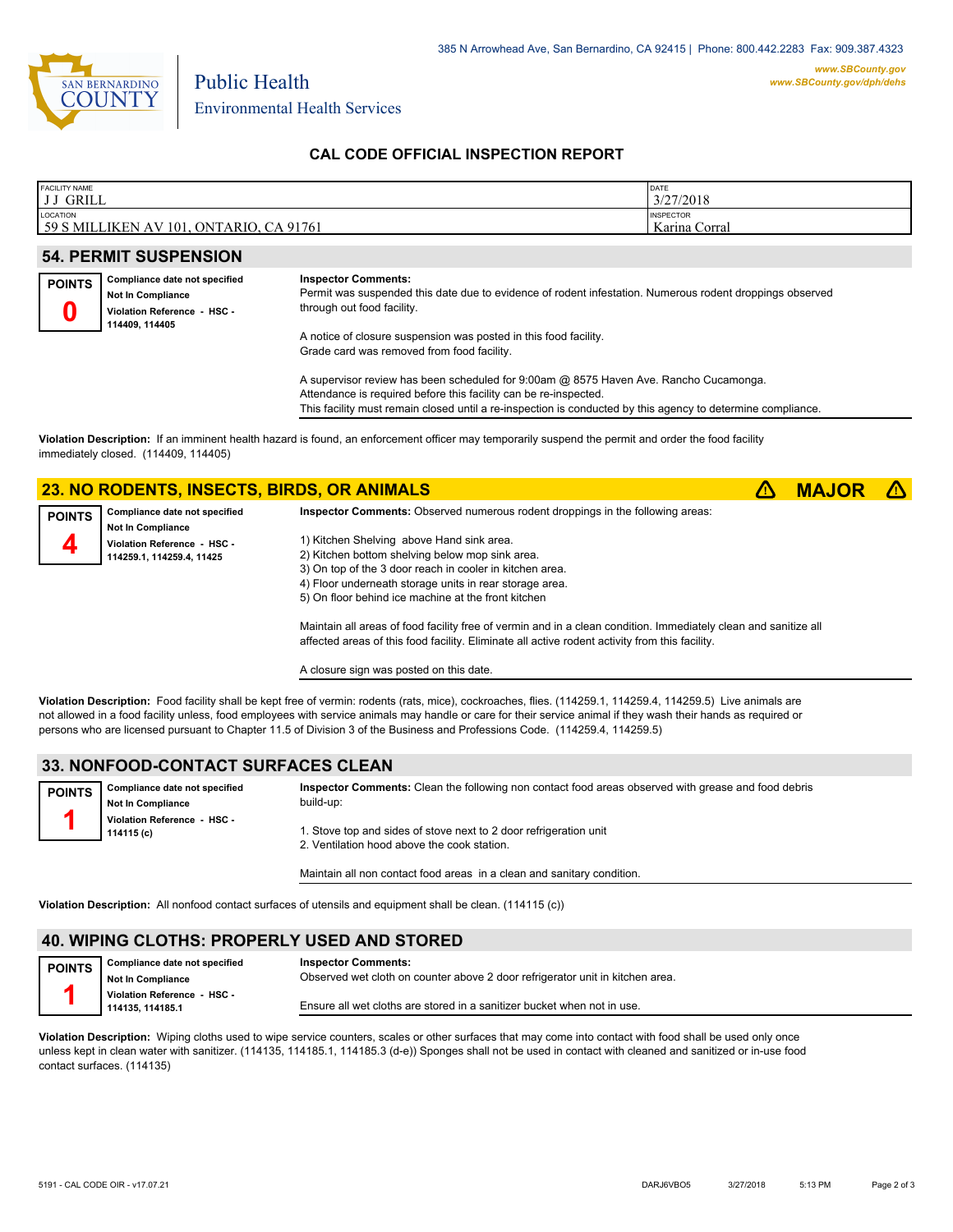

Environmental Health Services

Public Health

## **CAL CODE OFFICIAL INSPECTION REPORT**

| <b>FACILITY NAME</b>                                                           | <b>DATE</b>                                |
|--------------------------------------------------------------------------------|--------------------------------------------|
| JJ GRILL                                                                       | 3/27/2018                                  |
| LOCATION<br>59 S<br>CA 91761<br>$\lceil 101 \rceil$<br>ONTARIO.<br>MILLIKEN AV | <b>INSPECTOR</b><br>TZ.<br>` Karina Corral |

#### **54. PERMIT SUSPENSION**

| <b>POINTS</b> | Compliance date not specified |  |  |  |  |
|---------------|-------------------------------|--|--|--|--|
|               | Not In Compliance             |  |  |  |  |
| п             | Violation Reference - HSC -   |  |  |  |  |
|               | 114409, 114405                |  |  |  |  |

#### **Inspector Comments:**

Permit was suspended this date due to evidence of rodent infestation. Numerous rodent droppings observed through out food facility.

A notice of closure suspension was posted in this food facility. Grade card was removed from food facility.

A supervisor review has been scheduled for 9:00am @ 8575 Haven Ave. Rancho Cucamonga. Attendance is required before this facility can be re-inspected. This facility must remain closed until a re-inspection is conducted by this agency to determine compliance.

**Violation Description:** If an imminent health hazard is found, an enforcement officer may temporarily suspend the permit and order the food facility immediately closed. (114409, 114405)

## **23. NO RODENTS, INSECTS, BIRDS, OR ANIMALS** ê**! MAJOR** ê**!**

| <b>POINTS</b> | Compliance date not specified | <b>Inspector Comments:</b> Observed numerous rodent droppings in the following areas: |
|---------------|-------------------------------|---------------------------------------------------------------------------------------|
|               | <b>Not In Compliance</b>      |                                                                                       |
|               | Violation Reference - HSC -   | 1) Kitchen Shelving above Hand sink area.                                             |
|               | 114259.1, 114259.4, 11425     | 2) Kitchen bottom shelving below mop sink area.                                       |
|               |                               | 3) On top of the 3 door reach in cooler in kitchen area.                              |
|               |                               | 4) Floor underneath storage units in rear storage area.                               |
|               |                               | 5) On floor behind ice machine at the front kitchen                                   |

Maintain all areas of food facility free of vermin and in a clean condition. Immediately clean and sanitize all affected areas of this food facility. Eliminate all active rodent activity from this facility.

A closure sign was posted on this date.

**Violation Description:** Food facility shall be kept free of vermin: rodents (rats, mice), cockroaches, flies. (114259.1, 114259.4, 114259.5) Live animals are not allowed in a food facility unless, food employees with service animals may handle or care for their service animal if they wash their hands as required or persons who are licensed pursuant to Chapter 11.5 of Division 3 of the Business and Professions Code. (114259.4, 114259.5)

#### **33. NONFOOD-CONTACT SURFACES CLEAN**

| <b>POINTS</b> | Compliance date not specified | Inspector Comments: Clean the following non contact food areas observed with grease and food debris |
|---------------|-------------------------------|-----------------------------------------------------------------------------------------------------|
|               | <b>Not In Compliance</b>      | build-up:                                                                                           |
|               | Violation Reference - HSC -   |                                                                                                     |
|               | 114115 (c)                    | 1. Stove top and sides of stove next to 2 door refrigeration unit                                   |
|               |                               | 2. Ventilation hood above the cook station.                                                         |

Maintain all non contact food areas in a clean and sanitary condition.

**Violation Description:** All nonfood contact surfaces of utensils and equipment shall be clean. (114115 (c))

## **40. WIPING CLOTHS: PROPERLY USED AND STORED**

| <b>POINTS</b> | Compliance date not specified                  | <b>Inspector Comments:</b>                                                    |
|---------------|------------------------------------------------|-------------------------------------------------------------------------------|
|               | <b>Not In Compliance</b>                       | Observed wet cloth on counter above 2 door refrigerator unit in kitchen area. |
|               | Violation Reference - HSC -<br>114135.114185.1 | Ensure all wet cloths are stored in a sanitizer bucket when not in use.       |
|               |                                                |                                                                               |

**Violation Description:** Wiping cloths used to wipe service counters, scales or other surfaces that may come into contact with food shall be used only once unless kept in clean water with sanitizer. (114135, 114185.1, 114185.3 (d-e)) Sponges shall not be used in contact with cleaned and sanitized or in-use food contact surfaces. (114135)